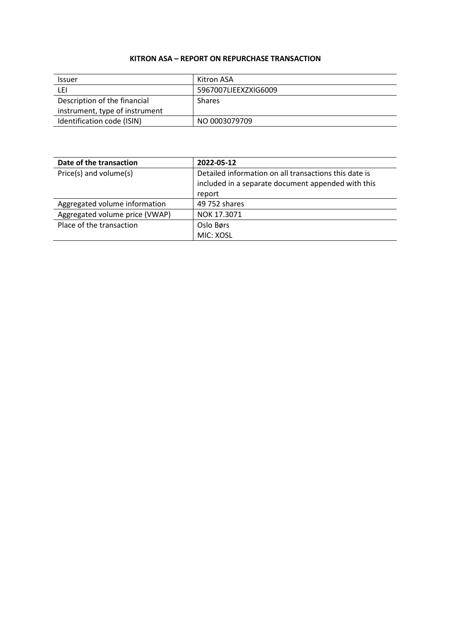## **KITRON ASA – REPORT ON REPURCHASE TRANSACTION**

| <b>Issuer</b>                  | Kitron ASA           |
|--------------------------------|----------------------|
| ∟EI                            | 5967007LIEEXZXIG6009 |
| Description of the financial   | <b>Shares</b>        |
| instrument, type of instrument |                      |
| Identification code (ISIN)     | NO 0003079709        |

| Date of the transaction        | 2022-05-12                                                                                                  |
|--------------------------------|-------------------------------------------------------------------------------------------------------------|
| Price(s) and volume(s)         | Detailed information on all transactions this date is<br>included in a separate document appended with this |
|                                | report                                                                                                      |
| Aggregated volume information  | 49 752 shares                                                                                               |
| Aggregated volume price (VWAP) | NOK 17.3071                                                                                                 |
| Place of the transaction       | Oslo Børs                                                                                                   |
|                                | MIC: XOSL                                                                                                   |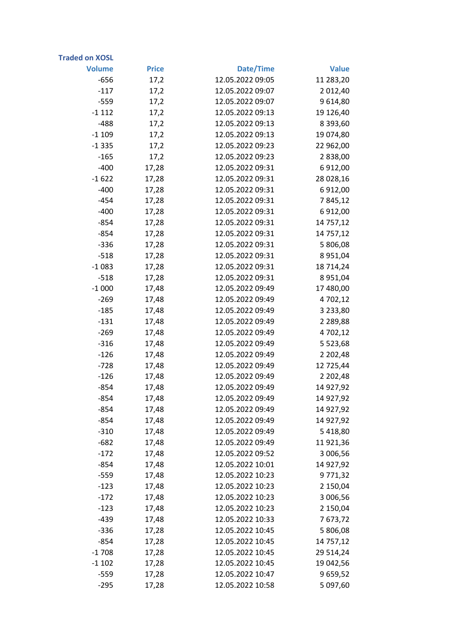| <b>Traded on XOSL</b> |              |                  |               |
|-----------------------|--------------|------------------|---------------|
| <b>Volume</b>         | <b>Price</b> | Date/Time        | <b>Value</b>  |
| $-656$                | 17,2         | 12.05.2022 09:05 | 11 283,20     |
| $-117$                | 17,2         | 12.05.2022 09:07 | 2 012,40      |
| $-559$                | 17,2         | 12.05.2022 09:07 | 9 6 14,80     |
| $-1112$               | 17,2         | 12.05.2022 09:13 | 19 126,40     |
| $-488$                | 17,2         | 12.05.2022 09:13 | 8 3 9 3 , 6 0 |
| $-1109$               | 17,2         | 12.05.2022 09:13 | 19 074,80     |
| $-1335$               | 17,2         | 12.05.2022 09:23 | 22 962,00     |
| $-165$                | 17,2         | 12.05.2022 09:23 | 2838,00       |
| $-400$                | 17,28        | 12.05.2022 09:31 | 6912,00       |
| $-1622$               | 17,28        | 12.05.2022 09:31 | 28 028,16     |
| $-400$                | 17,28        | 12.05.2022 09:31 | 6912,00       |
| $-454$                | 17,28        | 12.05.2022 09:31 | 7845,12       |
| $-400$                | 17,28        | 12.05.2022 09:31 | 6912,00       |
| $-854$                | 17,28        | 12.05.2022 09:31 | 14 757,12     |
| $-854$                | 17,28        | 12.05.2022 09:31 | 14 757,12     |
| $-336$                | 17,28        | 12.05.2022 09:31 | 5 806,08      |
| $-518$                | 17,28        | 12.05.2022 09:31 | 8 9 5 1 , 0 4 |
| $-1083$               | 17,28        | 12.05.2022 09:31 | 18 714,24     |
| $-518$                | 17,28        | 12.05.2022 09:31 | 8 9 5 1 , 0 4 |
| $-1000$               | 17,48        | 12.05.2022 09:49 | 17 480,00     |
| $-269$                | 17,48        | 12.05.2022 09:49 | 4 702,12      |
| $-185$                | 17,48        | 12.05.2022 09:49 | 3 2 3 3 , 8 0 |
| $-131$                | 17,48        | 12.05.2022 09:49 | 2 2 8 9 , 8 8 |
| $-269$                | 17,48        | 12.05.2022 09:49 | 4 702,12      |
| $-316$                | 17,48        | 12.05.2022 09:49 | 5 5 2 3 , 6 8 |
| $-126$                | 17,48        | 12.05.2022 09:49 | 2 2 0 2,48    |
| $-728$                | 17,48        | 12.05.2022 09:49 | 12 725,44     |
| $-126$                | 17,48        | 12.05.2022 09:49 | 2 2 0 2,48    |
| $-854$                | 17,48        | 12.05.2022 09:49 | 14 927,92     |
| -854                  | 17,48        | 12.05.2022 09:49 | 14 927,92     |
| $-854$                | 17,48        | 12.05.2022 09:49 | 14 927,92     |
| $-854$                | 17,48        | 12.05.2022 09:49 | 14 927,92     |
| $-310$                | 17,48        | 12.05.2022 09:49 | 5 4 18,80     |
| $-682$                | 17,48        | 12.05.2022 09:49 | 11921,36      |
| $-172$                | 17,48        | 12.05.2022 09:52 | 3 006,56      |
| $-854$                | 17,48        | 12.05.2022 10:01 | 14 927,92     |
| $-559$                | 17,48        | 12.05.2022 10:23 | 9771,32       |
| $-123$                | 17,48        | 12.05.2022 10:23 | 2 150,04      |
| $-172$                | 17,48        | 12.05.2022 10:23 | 3 006,56      |
| $-123$                | 17,48        | 12.05.2022 10:23 | 2 150,04      |
| $-439$                | 17,48        | 12.05.2022 10:33 | 7673,72       |
| $-336$                | 17,28        | 12.05.2022 10:45 | 5 806,08      |
| $-854$                | 17,28        | 12.05.2022 10:45 | 14 757,12     |
| $-1708$               | 17,28        | 12.05.2022 10:45 | 29 514,24     |
| $-1102$               | 17,28        | 12.05.2022 10:45 | 19 042,56     |
| $-559$                | 17,28        | 12.05.2022 10:47 | 9 659,52      |
| $-295$                | 17,28        | 12.05.2022 10:58 | 5 097,60      |